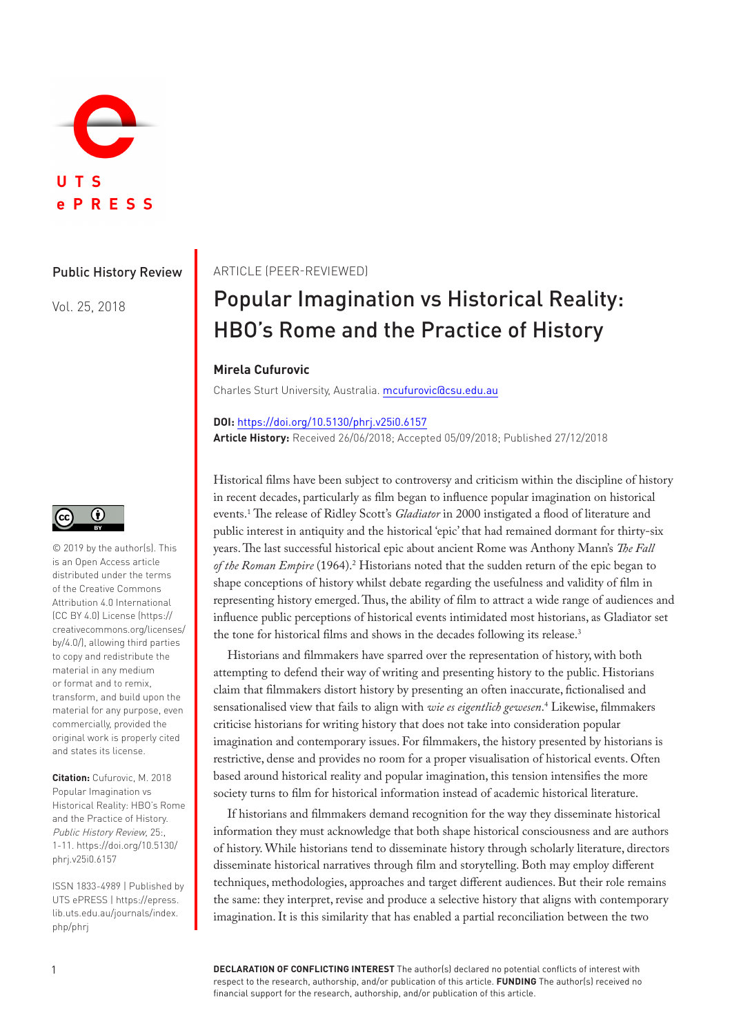

## Public History Review

Vol. 25, 2018



© 2019 by the author(s). This is an Open Access article distributed under the terms of the Creative Commons Attribution 4.0 International (CC BY 4.0) License ([https://](https://creativecommons.org/licenses/by/4.0/) [creativecommons.org/licenses/](https://creativecommons.org/licenses/by/4.0/) [by/4.0/](https://creativecommons.org/licenses/by/4.0/)), allowing third parties to copy and redistribute the material in any medium or format and to remix, transform, and build upon the material for any purpose, even commercially, provided the original work is properly cited and states its license.

**Citation:** Cufurovic, M. 2018 Popular Imagination vs Historical Reality: HBO's Rome and the Practice of History. Public History Review, 25:, 1-11. [https://doi.org/10.5130/](https://doi.org/10.5130/phrj.v25i0.6157) [phrj.v25i0.6157](https://doi.org/10.5130/phrj.v25i0.6157)

ISSN 1833-4989 | Published by UTS ePRESS | [https://epress.](https://epress.lib.uts.edu.au/journals/index.php/phrj) [lib.uts.edu.au/journals/index.](https://epress.lib.uts.edu.au/journals/index.php/phrj) [php/phrj](https://epress.lib.uts.edu.au/journals/index.php/phrj)

### ARTICLE (PEER-REVIEWED)

# Popular Imagination vs Historical Reality: HBO's Rome and the Practice of History

#### **Mirela Cufurovic**

Charles Sturt University, Australia. [mcufurovic@csu.edu.au](mailto:mcufurovic@csu.edu.au)

**DOI:** <https://doi.org/10.5130/phrj.v25i0.6157> **Article History:** Received 26/06/2018; Accepted 05/09/2018; Published 27/12/2018

Historical films have been subject to controversy and criticism within the discipline of history in recent decades, particularly as film began to influence popular imagination on historical events[.1](#page-7-0) The release of Ridley Scott's *Gladiator* in 2000 instigated a flood of literature and public interest in antiquity and the historical 'epic' that had remained dormant for thirty-six years. The last successful historical epic about ancient Rome was Anthony Mann's *The Fall of the Roman Empire* (1964).[2](#page-7-1) Historians noted that the sudden return of the epic began to shape conceptions of history whilst debate regarding the usefulness and validity of film in representing history emerged. Thus, the ability of film to attract a wide range of audiences and influence public perceptions of historical events intimidated most historians, as Gladiator set the tone for historical films and shows in the decades following its release.<sup>[3](#page-7-2)</sup>

Historians and filmmakers have sparred over the representation of history, with both attempting to defend their way of writing and presenting history to the public. Historians claim that filmmakers distort history by presenting an often inaccurate, fictionalised and sensationalised view that fails to align with *wie es eigentlich gewesen*. [4](#page-8-0) Likewise, filmmakers criticise historians for writing history that does not take into consideration popular imagination and contemporary issues. For filmmakers, the history presented by historians is restrictive, dense and provides no room for a proper visualisation of historical events. Often based around historical reality and popular imagination, this tension intensifies the more society turns to film for historical information instead of academic historical literature.

If historians and filmmakers demand recognition for the way they disseminate historical information they must acknowledge that both shape historical consciousness and are authors of history. While historians tend to disseminate history through scholarly literature, directors disseminate historical narratives through film and storytelling. Both may employ different techniques, methodologies, approaches and target different audiences. But their role remains the same: they interpret, revise and produce a selective history that aligns with contemporary imagination. It is this similarity that has enabled a partial reconciliation between the two

**DECLARATION OF CONFLICTING INTEREST** The author(s) declared no potential conflicts of interest with respect to the research, authorship, and/or publication of this article. **FUNDING** The author(s) received no financial support for the research, authorship, and/or publication of this article.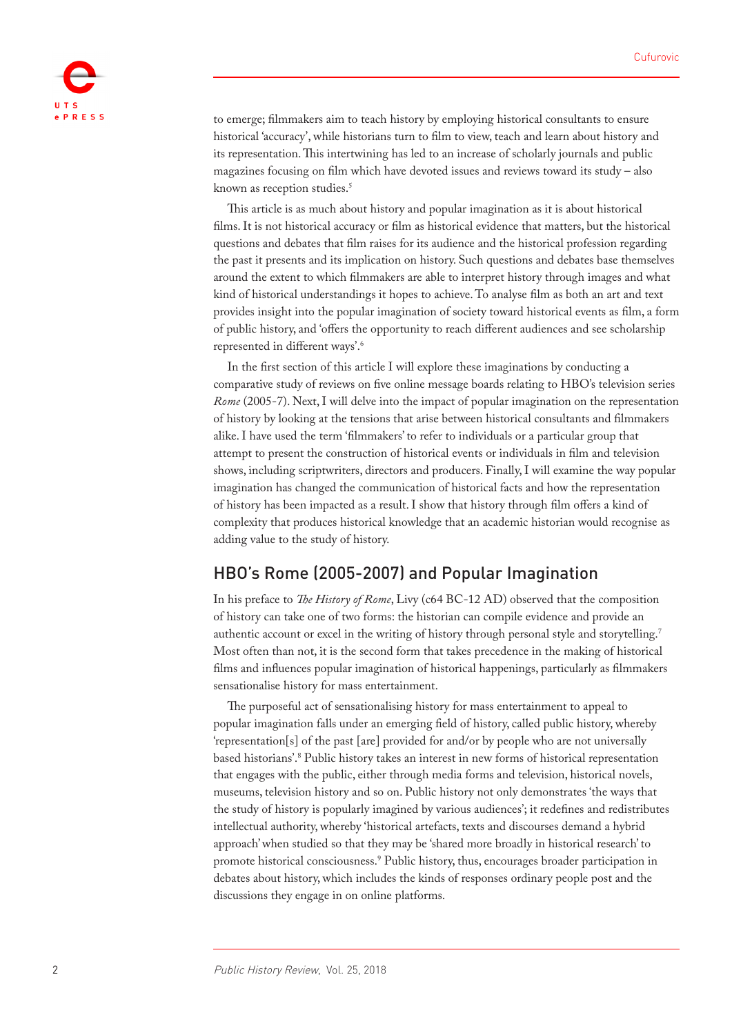

to emerge; filmmakers aim to teach history by employing historical consultants to ensure historical 'accuracy', while historians turn to film to view, teach and learn about history and its representation. This intertwining has led to an increase of scholarly journals and public magazines focusing on film which have devoted issues and reviews toward its study – also known as reception studies.<sup>[5](#page-8-1)</sup>

This article is as much about history and popular imagination as it is about historical films. It is not historical accuracy or film as historical evidence that matters, but the historical questions and debates that film raises for its audience and the historical profession regarding the past it presents and its implication on history. Such questions and debates base themselves around the extent to which filmmakers are able to interpret history through images and what kind of historical understandings it hopes to achieve. To analyse film as both an art and text provides insight into the popular imagination of society toward historical events as film, a form of public history, and 'offers the opportunity to reach different audiences and see scholarship represented in different ways'.[6](#page-8-2)

In the first section of this article I will explore these imaginations by conducting a comparative study of reviews on five online message boards relating to HBO's television series *Rome* (2005-7). Next, I will delve into the impact of popular imagination on the representation of history by looking at the tensions that arise between historical consultants and filmmakers alike. I have used the term 'filmmakers' to refer to individuals or a particular group that attempt to present the construction of historical events or individuals in film and television shows, including scriptwriters, directors and producers. Finally, I will examine the way popular imagination has changed the communication of historical facts and how the representation of history has been impacted as a result. I show that history through film offers a kind of complexity that produces historical knowledge that an academic historian would recognise as adding value to the study of history.

# HBO's Rome (2005-2007) and Popular Imagination

In his preface to *The History of Rome*, Livy (c64 BC-12 AD) observed that the composition of history can take one of two forms: the historian can compile evidence and provide an authentic account or excel in the writing of history through personal style and storytelling.<sup>7</sup> Most often than not, it is the second form that takes precedence in the making of historical films and influences popular imagination of historical happenings, particularly as filmmakers sensationalise history for mass entertainment.

The purposeful act of sensationalising history for mass entertainment to appeal to popular imagination falls under an emerging field of history, called public history, whereby 'representation[s] of the past [are] provided for and/or by people who are not universally based historians'[.8](#page-8-4) Public history takes an interest in new forms of historical representation that engages with the public, either through media forms and television, historical novels, museums, television history and so on. Public history not only demonstrates 'the ways that the study of history is popularly imagined by various audiences'; it redefines and redistributes intellectual authority, whereby 'historical artefacts, texts and discourses demand a hybrid approach' when studied so that they may be 'shared more broadly in historical research' to promote historical consciousness[.9](#page-8-5) Public history, thus, encourages broader participation in debates about history, which includes the kinds of responses ordinary people post and the discussions they engage in on online platforms.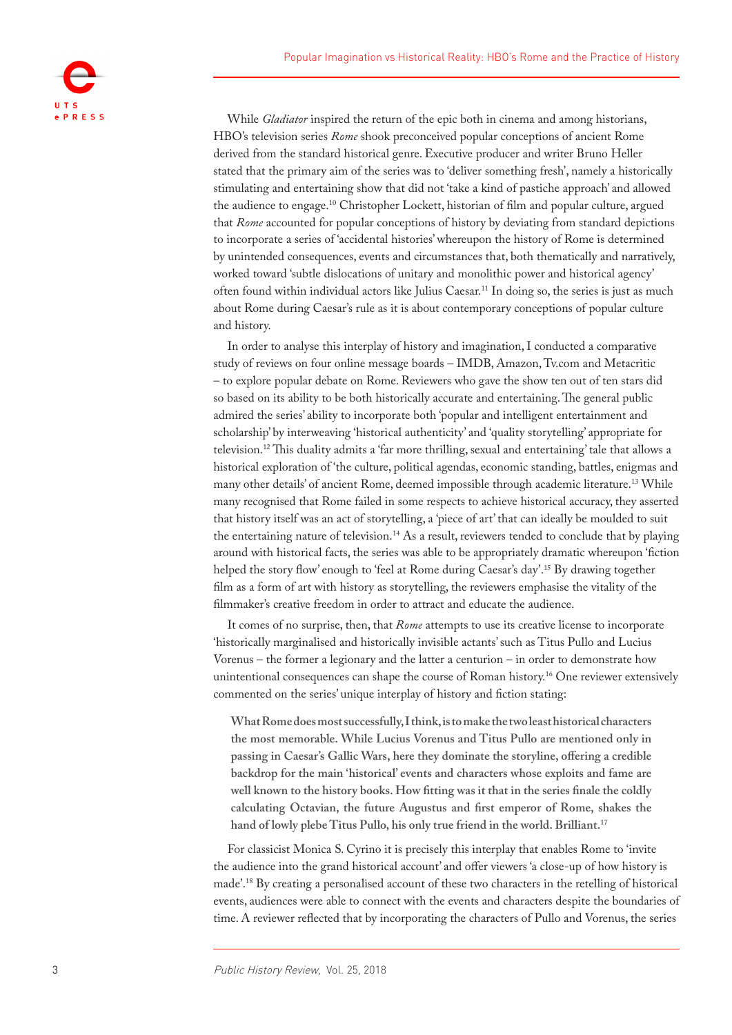

While *Gladiator* inspired the return of the epic both in cinema and among historians, HBO's television series *Rome* shook preconceived popular conceptions of ancient Rome derived from the standard historical genre. Executive producer and writer Bruno Heller stated that the primary aim of the series was to 'deliver something fresh', namely a historically stimulating and entertaining show that did not 'take a kind of pastiche approach' and allowed the audience to engage.[10](#page-8-6) Christopher Lockett, historian of film and popular culture, argued that *Rome* accounted for popular conceptions of history by deviating from standard depictions to incorporate a series of 'accidental histories' whereupon the history of Rome is determined by unintended consequences, events and circumstances that, both thematically and narratively, worked toward 'subtle dislocations of unitary and monolithic power and historical agency' often found within individual actors like Julius Caesar.[11](#page-8-7) In doing so, the series is just as much about Rome during Caesar's rule as it is about contemporary conceptions of popular culture and history.

In order to analyse this interplay of history and imagination, I conducted a comparative study of reviews on four online message boards – IMDB, Amazon, Tv.com and Metacritic – to explore popular debate on Rome. Reviewers who gave the show ten out of ten stars did so based on its ability to be both historically accurate and entertaining. The general public admired the series' ability to incorporate both 'popular and intelligent entertainment and scholarship' by interweaving 'historical authenticity' and 'quality storytelling' appropriate for television[.12](#page-8-8) This duality admits a 'far more thrilling, sexual and entertaining' tale that allows a historical exploration of 'the culture, political agendas, economic standing, battles, enigmas and many other details' of ancient Rome, deemed impossible through academic literature.[13](#page-8-9) While many recognised that Rome failed in some respects to achieve historical accuracy, they asserted that history itself was an act of storytelling, a 'piece of art' that can ideally be moulded to suit the entertaining nature of television.<sup>14</sup> As a result, reviewers tended to conclude that by playing around with historical facts, the series was able to be appropriately dramatic whereupon 'fiction helped the story flow' enough to 'feel at Rome during Caesar's day'[.15](#page-8-11) By drawing together film as a form of art with history as storytelling, the reviewers emphasise the vitality of the filmmaker's creative freedom in order to attract and educate the audience.

It comes of no surprise, then, that *Rome* attempts to use its creative license to incorporate 'historically marginalised and historically invisible actants' such as Titus Pullo and Lucius Vorenus – the former a legionary and the latter a centurion – in order to demonstrate how unintentional consequences can shape the course of Roman history.<sup>16</sup> One reviewer extensively commented on the series' unique interplay of history and fiction stating:

**What Rome does most successfully, I think, is to make the two least historical characters the most memorable. While Lucius Vorenus and Titus Pullo are mentioned only in passing in Caesar's Gallic Wars, here they dominate the storyline, offering a credible backdrop for the main 'historical' events and characters whose exploits and fame are well known to the history books. How fitting was it that in the series finale the coldly calculating Octavian, the future Augustus and first emperor of Rome, shakes the hand of lowly plebe Titus Pullo, his only true friend in the world. Brilliant.[17](#page-8-13)**

For classicist Monica S. Cyrino it is precisely this interplay that enables Rome to 'invite the audience into the grand historical account' and offer viewers 'a close-up of how history is made'.[18](#page-8-14) By creating a personalised account of these two characters in the retelling of historical events, audiences were able to connect with the events and characters despite the boundaries of time. A reviewer reflected that by incorporating the characters of Pullo and Vorenus, the series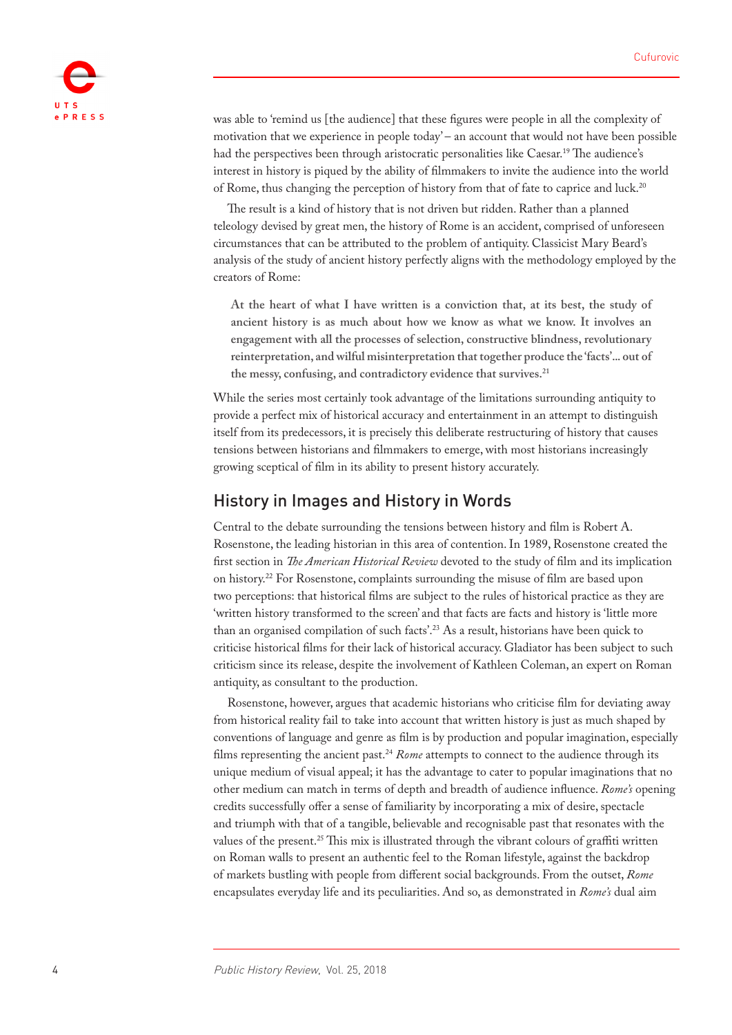

was able to 'remind us [the audience] that these figures were people in all the complexity of motivation that we experience in people today' – an account that would not have been possible had the perspectives been through aristocratic personalities like Caesar.[19](#page-8-15) The audience's interest in history is piqued by the ability of filmmakers to invite the audience into the world of Rome, thus changing the perception of history from that of fate to caprice and luck.[20](#page-8-16)

The result is a kind of history that is not driven but ridden. Rather than a planned teleology devised by great men, the history of Rome is an accident, comprised of unforeseen circumstances that can be attributed to the problem of antiquity. Classicist Mary Beard's analysis of the study of ancient history perfectly aligns with the methodology employed by the creators of Rome:

**At the heart of what I have written is a conviction that, at its best, the study of ancient history is as much about how we know as what we know. It involves an engagement with all the processes of selection, constructive blindness, revolutionary reinterpretation, and wilful misinterpretation that together produce the 'facts'... out of the messy, confusing, and contradictory evidence that survives[.21](#page-8-17)**

While the series most certainly took advantage of the limitations surrounding antiquity to provide a perfect mix of historical accuracy and entertainment in an attempt to distinguish itself from its predecessors, it is precisely this deliberate restructuring of history that causes tensions between historians and filmmakers to emerge, with most historians increasingly growing sceptical of film in its ability to present history accurately.

## History in Images and History in Words

Central to the debate surrounding the tensions between history and film is Robert A. Rosenstone, the leading historian in this area of contention. In 1989, Rosenstone created the first section in *The American Historical Review* devoted to the study of film and its implication on history[.22](#page-8-18) For Rosenstone, complaints surrounding the misuse of film are based upon two perceptions: that historical films are subject to the rules of historical practice as they are 'written history transformed to the screen' and that facts are facts and history is 'little more than an organised compilation of such facts'.[23](#page-9-0) As a result, historians have been quick to criticise historical films for their lack of historical accuracy. Gladiator has been subject to such criticism since its release, despite the involvement of Kathleen Coleman, an expert on Roman antiquity, as consultant to the production.

Rosenstone, however, argues that academic historians who criticise film for deviating away from historical reality fail to take into account that written history is just as much shaped by conventions of language and genre as film is by production and popular imagination, especially films representing the ancient past.[24](#page-9-1) *Rome* attempts to connect to the audience through its unique medium of visual appeal; it has the advantage to cater to popular imaginations that no other medium can match in terms of depth and breadth of audience influence. *Rome's* opening credits successfully offer a sense of familiarity by incorporating a mix of desire, spectacle and triumph with that of a tangible, believable and recognisable past that resonates with the values of the present.[25](#page-9-2) This mix is illustrated through the vibrant colours of graffiti written on Roman walls to present an authentic feel to the Roman lifestyle, against the backdrop of markets bustling with people from different social backgrounds. From the outset, *Rome* encapsulates everyday life and its peculiarities. And so, as demonstrated in *Rome's* dual aim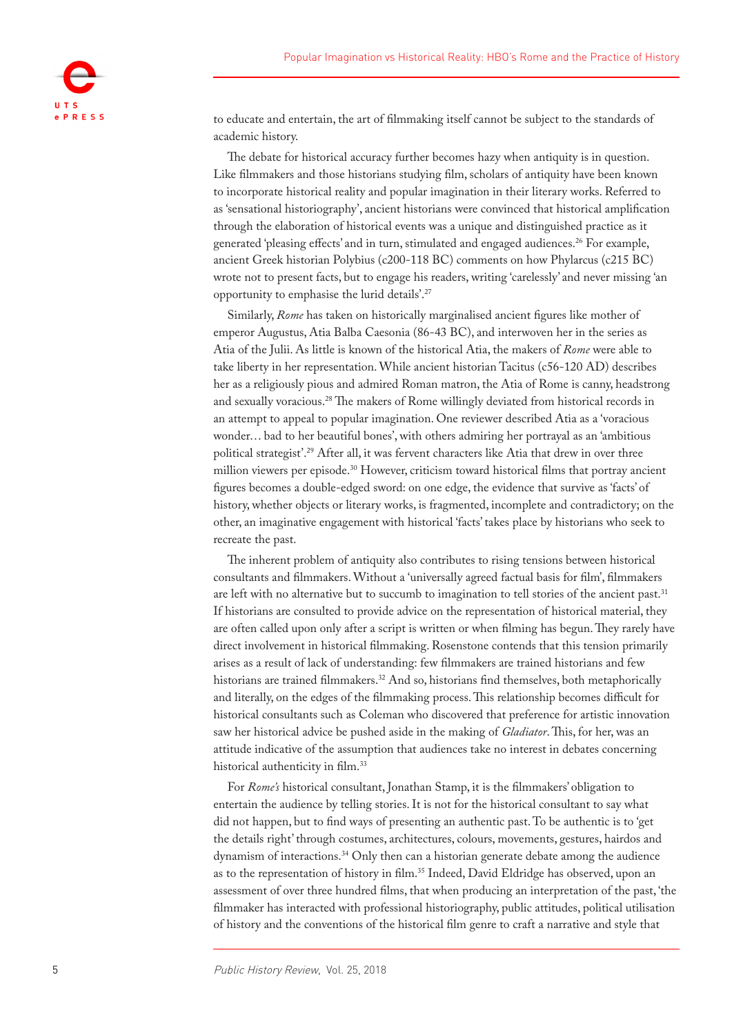

to educate and entertain, the art of filmmaking itself cannot be subject to the standards of academic history.

The debate for historical accuracy further becomes hazy when antiquity is in question. Like filmmakers and those historians studying film, scholars of antiquity have been known to incorporate historical reality and popular imagination in their literary works. Referred to as 'sensational historiography', ancient historians were convinced that historical amplification through the elaboration of historical events was a unique and distinguished practice as it generated 'pleasing effects' and in turn, stimulated and engaged audiences[.26](#page-9-3) For example, ancient Greek historian Polybius (c200-118 BC) comments on how Phylarcus (c215 BC) wrote not to present facts, but to engage his readers, writing 'carelessly' and never missing 'an opportunity to emphasise the lurid details'[.27](#page-9-4)

Similarly, *Rome* has taken on historically marginalised ancient figures like mother of emperor Augustus, Atia Balba Caesonia (86-43 BC), and interwoven her in the series as Atia of the Julii. As little is known of the historical Atia, the makers of *Rome* were able to take liberty in her representation. While ancient historian Tacitus (c56-120 AD) describes her as a religiously pious and admired Roman matron, the Atia of Rome is canny, headstrong and sexually voracious.[28](#page-9-5) The makers of Rome willingly deviated from historical records in an attempt to appeal to popular imagination. One reviewer described Atia as a 'voracious wonder… bad to her beautiful bones', with others admiring her portrayal as an 'ambitious political strategist'.[29](#page-9-6) After all, it was fervent characters like Atia that drew in over three million viewers per episode.[30](#page-9-7) However, criticism toward historical films that portray ancient figures becomes a double-edged sword: on one edge, the evidence that survive as 'facts' of history, whether objects or literary works, is fragmented, incomplete and contradictory; on the other, an imaginative engagement with historical 'facts' takes place by historians who seek to recreate the past.

The inherent problem of antiquity also contributes to rising tensions between historical consultants and filmmakers. Without a 'universally agreed factual basis for film', filmmakers are left with no alternative but to succumb to imagination to tell stories of the ancient past.<sup>[31](#page-9-8)</sup> If historians are consulted to provide advice on the representation of historical material, they are often called upon only after a script is written or when filming has begun. They rarely have direct involvement in historical filmmaking. Rosenstone contends that this tension primarily arises as a result of lack of understanding: few filmmakers are trained historians and few historians are trained filmmakers.<sup>32</sup> And so, historians find themselves, both metaphorically and literally, on the edges of the filmmaking process. This relationship becomes difficult for historical consultants such as Coleman who discovered that preference for artistic innovation saw her historical advice be pushed aside in the making of *Gladiator*. This, for her, was an attitude indicative of the assumption that audiences take no interest in debates concerning historical authenticity in film.<sup>[33](#page-9-10)</sup>

For *Rome's* historical consultant, Jonathan Stamp, it is the filmmakers' obligation to entertain the audience by telling stories. It is not for the historical consultant to say what did not happen, but to find ways of presenting an authentic past. To be authentic is to 'get the details right' through costumes, architectures, colours, movements, gestures, hairdos and dynamism of interactions.[34](#page-9-11) Only then can a historian generate debate among the audience as to the representation of history in film.<sup>35</sup> Indeed, David Eldridge has observed, upon an assessment of over three hundred films, that when producing an interpretation of the past, 'the filmmaker has interacted with professional historiography, public attitudes, political utilisation of history and the conventions of the historical film genre to craft a narrative and style that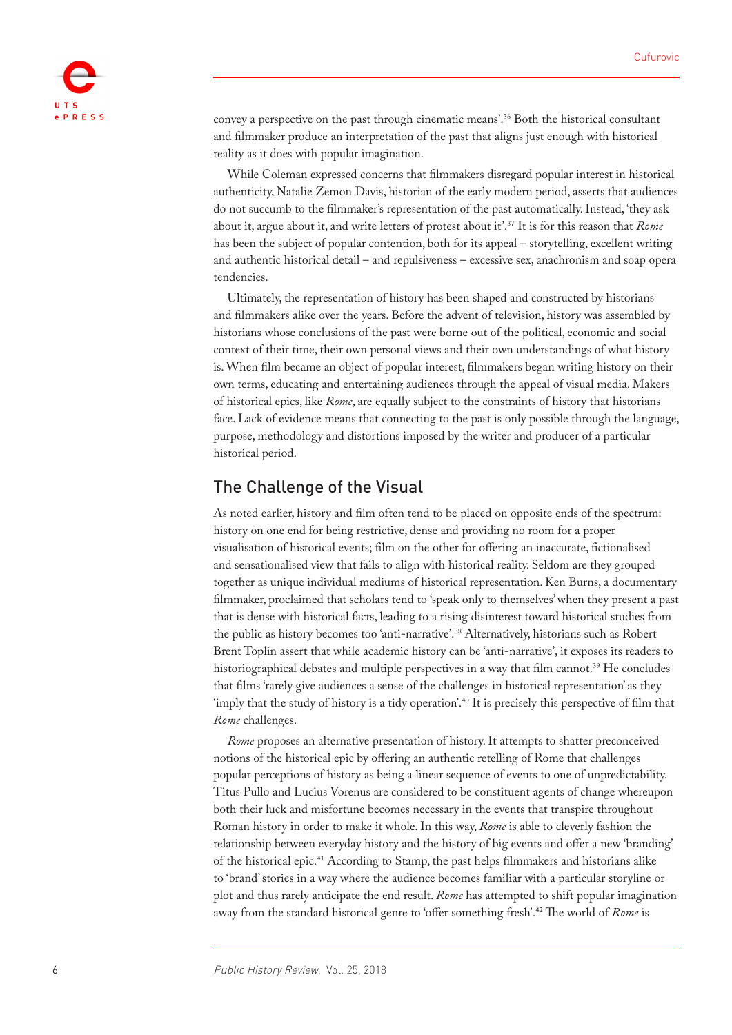

convey a perspective on the past through cinematic means'.[36](#page-9-13) Both the historical consultant and filmmaker produce an interpretation of the past that aligns just enough with historical reality as it does with popular imagination.

While Coleman expressed concerns that filmmakers disregard popular interest in historical authenticity, Natalie Zemon Davis, historian of the early modern period, asserts that audiences do not succumb to the filmmaker's representation of the past automatically. Instead, 'they ask about it, argue about it, and write letters of protest about it'.[37](#page-9-14) It is for this reason that *Rome* has been the subject of popular contention, both for its appeal – storytelling, excellent writing and authentic historical detail – and repulsiveness – excessive sex, anachronism and soap opera tendencies.

Ultimately, the representation of history has been shaped and constructed by historians and filmmakers alike over the years. Before the advent of television, history was assembled by historians whose conclusions of the past were borne out of the political, economic and social context of their time, their own personal views and their own understandings of what history is. When film became an object of popular interest, filmmakers began writing history on their own terms, educating and entertaining audiences through the appeal of visual media. Makers of historical epics, like *Rome*, are equally subject to the constraints of history that historians face. Lack of evidence means that connecting to the past is only possible through the language, purpose, methodology and distortions imposed by the writer and producer of a particular historical period.

# The Challenge of the Visual

As noted earlier, history and film often tend to be placed on opposite ends of the spectrum: history on one end for being restrictive, dense and providing no room for a proper visualisation of historical events; film on the other for offering an inaccurate, fictionalised and sensationalised view that fails to align with historical reality. Seldom are they grouped together as unique individual mediums of historical representation. Ken Burns, a documentary filmmaker, proclaimed that scholars tend to 'speak only to themselves' when they present a past that is dense with historical facts, leading to a rising disinterest toward historical studies from the public as history becomes too 'anti-narrative'.[38](#page-9-15) Alternatively, historians such as Robert Brent Toplin assert that while academic history can be 'anti-narrative', it exposes its readers to historiographical debates and multiple perspectives in a way that film cannot.<sup>39</sup> He concludes that films 'rarely give audiences a sense of the challenges in historical representation' as they 'imply that the study of history is a tidy operation'.[40](#page-9-17) It is precisely this perspective of film that *Rome* challenges.

*Rome* proposes an alternative presentation of history. It attempts to shatter preconceived notions of the historical epic by offering an authentic retelling of Rome that challenges popular perceptions of history as being a linear sequence of events to one of unpredictability. Titus Pullo and Lucius Vorenus are considered to be constituent agents of change whereupon both their luck and misfortune becomes necessary in the events that transpire throughout Roman history in order to make it whole. In this way, *Rome* is able to cleverly fashion the relationship between everyday history and the history of big events and offer a new 'branding' of the historical epic.[41](#page-9-18) According to Stamp, the past helps filmmakers and historians alike to 'brand' stories in a way where the audience becomes familiar with a particular storyline or plot and thus rarely anticipate the end result. *Rome* has attempted to shift popular imagination away from the standard historical genre to 'offer something fresh'.[42](#page-9-19) The world of *Rome* is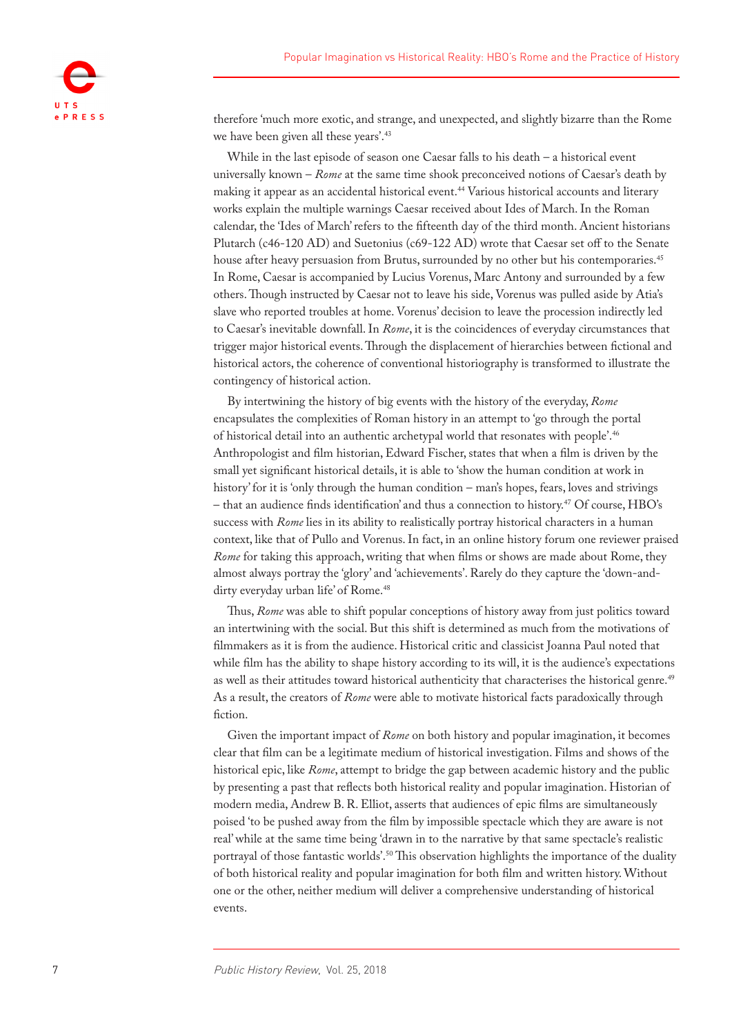

therefore 'much more exotic, and strange, and unexpected, and slightly bizarre than the Rome we have been given all these years'.[43](#page-9-20)

While in the last episode of season one Caesar falls to his death – a historical event universally known – *Rome* at the same time shook preconceived notions of Caesar's death by making it appear as an accidental historical event.<sup>44</sup> Various historical accounts and literary works explain the multiple warnings Caesar received about Ides of March. In the Roman calendar, the 'Ides of March' refers to the fifteenth day of the third month. Ancient historians Plutarch (c46-120 AD) and Suetonius (c69-122 AD) wrote that Caesar set off to the Senate house after heavy persuasion from Brutus, surrounded by no other but his contemporaries[.45](#page-9-22) In Rome, Caesar is accompanied by Lucius Vorenus, Marc Antony and surrounded by a few others. Though instructed by Caesar not to leave his side, Vorenus was pulled aside by Atia's slave who reported troubles at home. Vorenus' decision to leave the procession indirectly led to Caesar's inevitable downfall. In *Rome*, it is the coincidences of everyday circumstances that trigger major historical events. Through the displacement of hierarchies between fictional and historical actors, the coherence of conventional historiography is transformed to illustrate the contingency of historical action.

By intertwining the history of big events with the history of the everyday, *Rome* encapsulates the complexities of Roman history in an attempt to 'go through the portal of historical detail into an authentic archetypal world that resonates with people'[.46](#page-9-23) Anthropologist and film historian, Edward Fischer, states that when a film is driven by the small yet significant historical details, it is able to 'show the human condition at work in history' for it is 'only through the human condition – man's hopes, fears, loves and strivings – that an audience finds identification' and thus a connection to history.[47](#page-9-24) Of course, HBO's success with *Rome* lies in its ability to realistically portray historical characters in a human context, like that of Pullo and Vorenus. In fact, in an online history forum one reviewer praised *Rome* for taking this approach, writing that when films or shows are made about Rome, they almost always portray the 'glory' and 'achievements'. Rarely do they capture the 'down-and-dirty everyday urban life' of Rome.<sup>[48](#page-9-25)</sup>

Thus, *Rome* was able to shift popular conceptions of history away from just politics toward an intertwining with the social. But this shift is determined as much from the motivations of filmmakers as it is from the audience. Historical critic and classicist Joanna Paul noted that while film has the ability to shape history according to its will, it is the audience's expectations as well as their attitudes toward historical authenticity that characterises the historical genre.<sup>49</sup> As a result, the creators of *Rome* were able to motivate historical facts paradoxically through fiction.

Given the important impact of *Rome* on both history and popular imagination, it becomes clear that film can be a legitimate medium of historical investigation. Films and shows of the historical epic, like *Rome*, attempt to bridge the gap between academic history and the public by presenting a past that reflects both historical reality and popular imagination. Historian of modern media, Andrew B. R. Elliot, asserts that audiences of epic films are simultaneously poised 'to be pushed away from the film by impossible spectacle which they are aware is not real' while at the same time being 'drawn in to the narrative by that same spectacle's realistic portrayal of those fantastic worlds'.[50](#page-10-0) This observation highlights the importance of the duality of both historical reality and popular imagination for both film and written history. Without one or the other, neither medium will deliver a comprehensive understanding of historical events.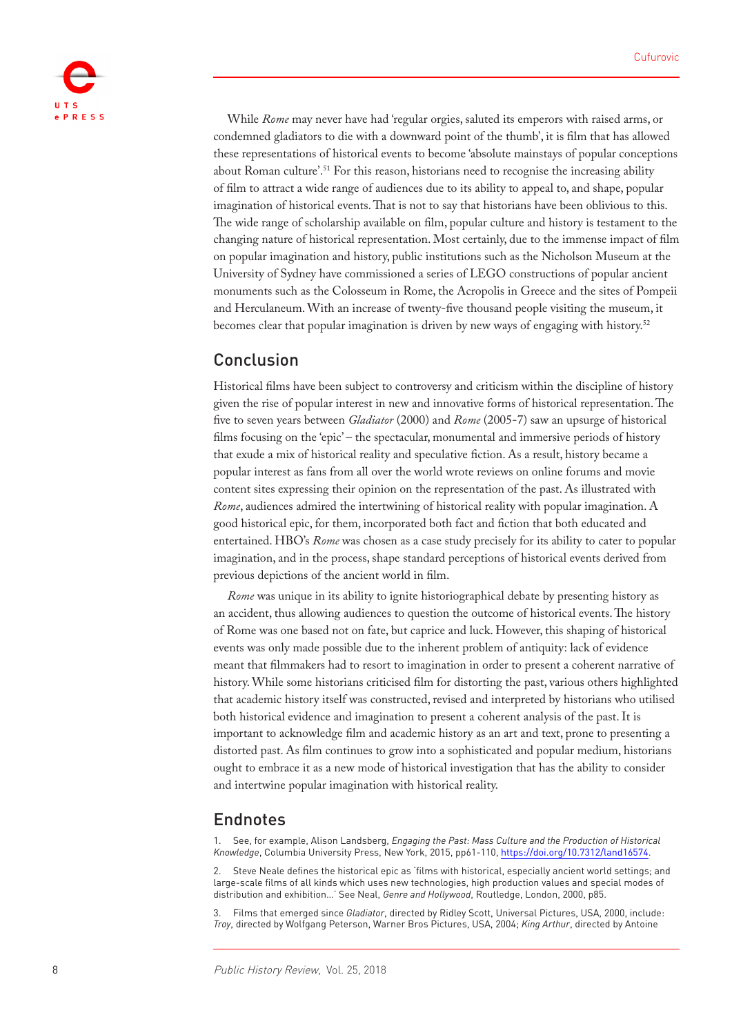

While *Rome* may never have had 'regular orgies, saluted its emperors with raised arms, or condemned gladiators to die with a downward point of the thumb', it is film that has allowed these representations of historical events to become 'absolute mainstays of popular conceptions about Roman culture'.<sup>51</sup> For this reason, historians need to recognise the increasing ability of film to attract a wide range of audiences due to its ability to appeal to, and shape, popular imagination of historical events. That is not to say that historians have been oblivious to this. The wide range of scholarship available on film, popular culture and history is testament to the changing nature of historical representation. Most certainly, due to the immense impact of film on popular imagination and history, public institutions such as the Nicholson Museum at the University of Sydney have commissioned a series of LEGO constructions of popular ancient monuments such as the Colosseum in Rome, the Acropolis in Greece and the sites of Pompeii and Herculaneum. With an increase of twenty-five thousand people visiting the museum, it becomes clear that popular imagination is driven by new ways of engaging with history.<sup>52</sup>

# Conclusion

Historical films have been subject to controversy and criticism within the discipline of history given the rise of popular interest in new and innovative forms of historical representation. The five to seven years between *Gladiator* (2000) and *Rome* (2005-7) saw an upsurge of historical films focusing on the 'epic' – the spectacular, monumental and immersive periods of history that exude a mix of historical reality and speculative fiction. As a result, history became a popular interest as fans from all over the world wrote reviews on online forums and movie content sites expressing their opinion on the representation of the past. As illustrated with *Rome*, audiences admired the intertwining of historical reality with popular imagination. A good historical epic, for them, incorporated both fact and fiction that both educated and entertained. HBO's *Rome* was chosen as a case study precisely for its ability to cater to popular imagination, and in the process, shape standard perceptions of historical events derived from previous depictions of the ancient world in film.

*Rome* was unique in its ability to ignite historiographical debate by presenting history as an accident, thus allowing audiences to question the outcome of historical events. The history of Rome was one based not on fate, but caprice and luck. However, this shaping of historical events was only made possible due to the inherent problem of antiquity: lack of evidence meant that filmmakers had to resort to imagination in order to present a coherent narrative of history. While some historians criticised film for distorting the past, various others highlighted that academic history itself was constructed, revised and interpreted by historians who utilised both historical evidence and imagination to present a coherent analysis of the past. It is important to acknowledge film and academic history as an art and text, prone to presenting a distorted past. As film continues to grow into a sophisticated and popular medium, historians ought to embrace it as a new mode of historical investigation that has the ability to consider and intertwine popular imagination with historical reality.

## Endnotes

<span id="page-7-0"></span>1. See, for example, Alison Landsberg, *Engaging the Past: Mass Culture and the Production of Historical Knowledge*, Columbia University Press, New York, 2015, pp61-110, <https://doi.org/10.7312/land16574>.

<span id="page-7-1"></span>2. Steve Neale defines the historical epic as 'films with historical, especially ancient world settings; and large-scale films of all kinds which uses new technologies, high production values and special modes of distribution and exhibition…' See Neal, *Genre and Hollywood*, Routledge, London, 2000, p85.

<span id="page-7-2"></span>3. Films that emerged since *Gladiator*, directed by Ridley Scott, Universal Pictures, USA, 2000, include: *Troy*, directed by Wolfgang Peterson, Warner Bros Pictures, USA, 2004; *King Arthur*, directed by Antoine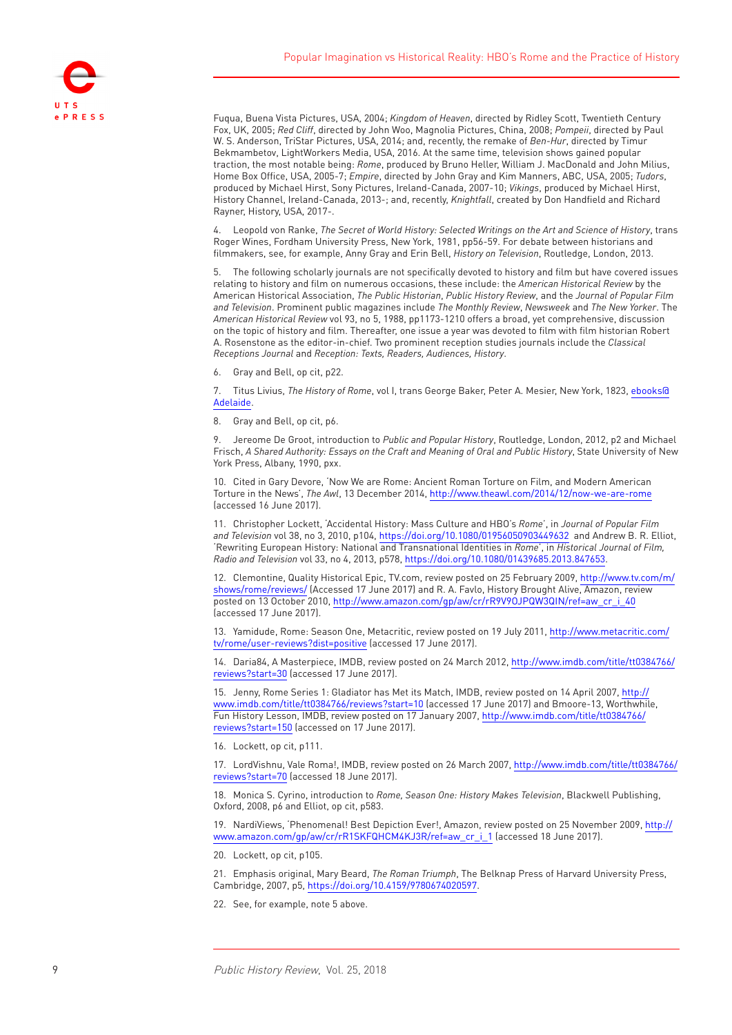

Fuqua, Buena Vista Pictures, USA, 2004; *Kingdom of Heaven*, directed by Ridley Scott, Twentieth Century Fox, UK, 2005; *Red Cliff*, directed by John Woo, Magnolia Pictures, China, 2008; *Pompeii*, directed by Paul W. S. Anderson, TriStar Pictures, USA, 2014; and, recently, the remake of *Ben-Hur*, directed by Timur Bekmambetov, LightWorkers Media, USA, 2016. At the same time, television shows gained popular traction, the most notable being: *Rome*, produced by Bruno Heller, William J. MacDonald and John Milius, Home Box Office, USA, 2005-7; *Empire*, directed by John Gray and Kim Manners, ABC, USA, 2005; *Tudors*, produced by Michael Hirst, Sony Pictures, Ireland-Canada, 2007-10; *Vikings*, produced by Michael Hirst, History Channel, Ireland-Canada, 2013-; and, recently, *Knightfall*, created by Don Handfield and Richard Rayner, History, USA, 2017-.

<span id="page-8-0"></span>4. Leopold von Ranke, *The Secret of World History: Selected Writings on the Art and Science of History*, trans Roger Wines, Fordham University Press, New York, 1981, pp56-59. For debate between historians and filmmakers, see, for example, Anny Gray and Erin Bell, *History on Television*, Routledge, London, 2013.

<span id="page-8-1"></span>5. The following scholarly journals are not specifically devoted to history and film but have covered issues relating to history and film on numerous occasions, these include: the *American Historical Review* by the American Historical Association, *The Public Historian*, *Public History Review*, and the *Journal of Popular Film and Television*. Prominent public magazines include *The Monthly Review*, *Newsweek* and *The New Yorker*. The *American Historical Review* vol 93, no 5, 1988, pp1173-1210 offers a broad, yet comprehensive, discussion on the topic of history and film. Thereafter, one issue a year was devoted to film with film historian Robert A. Rosenstone as the editor-in-chief. Two prominent reception studies journals include the *Classical Receptions Journal* and *Reception: Texts, Readers, Audiences, History*.

<span id="page-8-2"></span>6. Gray and Bell, op cit, p22.

<span id="page-8-3"></span>7. Titus Livius, *The History of Rome*, vol I, trans George Baker, Peter A. Mesier, New York, 1823, [ebooks@](mailto:ebooks@Adelaide) [Adelaide](mailto:ebooks@Adelaide).

<span id="page-8-4"></span>8. Gray and Bell, op cit, p6.

<span id="page-8-5"></span>9. Jereome De Groot, introduction to *Public and Popular History*, Routledge, London, 2012, p2 and Michael Frisch, *A Shared Authority: Essays on the Craft and Meaning of Oral and Public History*, State University of New York Press, Albany, 1990, pxx.

<span id="page-8-6"></span>10. Cited in Gary Devore, 'Now We are Rome: Ancient Roman Torture on Film, and Modern American Torture in the News', *The Awl*, 13 December 2014, <http://www.theawl.com/2014/12/now-we-are-rome> (accessed 16 June 2017).

<span id="page-8-7"></span>11. Christopher Lockett, 'Accidental History: Mass Culture and HBO's *Rome*', in *Journal of Popular Film and Television* vol 38, no 3, 2010, p104,<https://doi.org/10.1080/01956050903449632>and Andrew B. R. Elliot, 'Rewriting European History: National and Transnational Identities in *Rome*', in *Historical Journal of Film, Radio and Television* vol 33, no 4, 2013, p578,<https://doi.org/10.1080/01439685.2013.847653>.

<span id="page-8-8"></span>12. Clemontine, Quality Historical Epic, TV.com, review posted on 25 February 2009, [http://www.tv.com/m/](http://www.tv.com/m/shows/rome/reviews/) [shows/rome/reviews/](http://www.tv.com/m/shows/rome/reviews/) (Accessed 17 June 2017) and R. A. Favlo, History Brought Alive, Amazon, review posted on 13 October 2010, [http://www.amazon.com/gp/aw/cr/rR9V9OJPQW3QIN/ref=aw\\_cr\\_i\\_40](http://www.amazon.com/gp/aw/cr/rR9V9OJPQW3QIN/ref=aw_cr_i_40) (accessed 17 June 2017).

<span id="page-8-9"></span>13. Yamidude, Rome: Season One, Metacritic, review posted on 19 July 2011, [http://www.metacritic.com/](http://www.metacritic.com/tv/rome/user-reviews?dist=positive) [tv/rome/user-reviews?dist=positive](http://www.metacritic.com/tv/rome/user-reviews?dist=positive) (accessed 17 June 2017).

<span id="page-8-10"></span>14. Daria84, A Masterpiece, IMDB, review posted on 24 March 2012, [http://www.imdb.com/title/tt0384766/](http://www.imdb.com/title/tt0384766/reviews?start=30) [reviews?start=30](http://www.imdb.com/title/tt0384766/reviews?start=30) (accessed 17 June 2017).

<span id="page-8-11"></span>15. Jenny, Rome Series 1: Gladiator has Met its Match, IMDB, review posted on 14 April 2007, [http://](http://www.imdb.com/title/tt0384766/reviews?start=10) [www.imdb.com/title/tt0384766/reviews?start=10](http://www.imdb.com/title/tt0384766/reviews?start=10) (accessed 17 June 2017) and Bmoore-13, Worthwhile, Fun History Lesson, IMDB, review posted on 17 January 2007, [http://www.imdb.com/title/tt0384766/](http://www.imdb.com/title/tt0384766/reviews?start=150) [reviews?start=150](http://www.imdb.com/title/tt0384766/reviews?start=150) (accessed on 17 June 2017).

<span id="page-8-12"></span>16. Lockett, op cit, p111.

<span id="page-8-13"></span>17. LordVishnu, Vale Roma!, IMDB, review posted on 26 March 2007, [http://www.imdb.com/title/tt0384766/](http://www.imdb.com/title/tt0384766/reviews?start=70) [reviews?start=70](http://www.imdb.com/title/tt0384766/reviews?start=70) (accessed 18 June 2017).

<span id="page-8-14"></span>18. Monica S. Cyrino, introduction to *Rome, Season One: History Makes Television*, Blackwell Publishing, Oxford, 2008, p6 and Elliot, op cit, p583.

<span id="page-8-15"></span>19. NardiViews, 'Phenomenal! Best Depiction Ever!, Amazon, review posted on 25 November 2009, [http://](http://www.amazon.com/gp/aw/cr/rR1SKFQHCM4KJ3R/ref=aw_cr_i_1) [www.amazon.com/gp/aw/cr/rR1SKFQHCM4KJ3R/ref=aw\\_cr\\_i\\_1](http://www.amazon.com/gp/aw/cr/rR1SKFQHCM4KJ3R/ref=aw_cr_i_1) (accessed 18 June 2017).

<span id="page-8-16"></span>20. Lockett, op cit, p105.

<span id="page-8-17"></span>21. Emphasis original, Mary Beard, *The Roman Triumph*, The Belknap Press of Harvard University Press, Cambridge, 2007, p5,<https://doi.org/10.4159/9780674020597>.

<span id="page-8-18"></span>22. See, for example, note 5 above.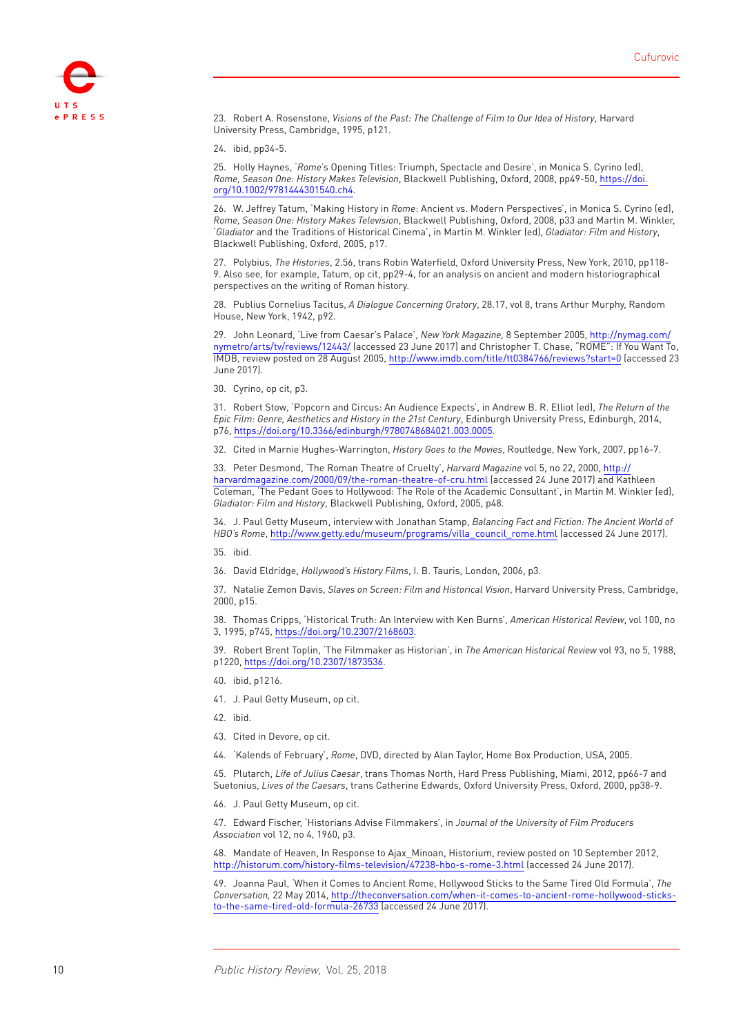

<span id="page-9-0"></span>23. Robert A. Rosenstone, *Visions of the Past: The Challenge of Film to Our Idea of History*, Harvard University Press, Cambridge, 1995, p121.

<span id="page-9-1"></span>24. ibid, pp34-5.

<span id="page-9-2"></span>25. Holly Haynes, '*Rome*'s Opening Titles: Triumph, Spectacle and Desire', in Monica S. Cyrino (ed), *Rome, Season One: History Makes Television*, Blackwell Publishing, Oxford, 2008, pp49-50, [https://doi.](https://doi.org/10.1002/9781444301540.ch4) [org/10.1002/9781444301540.ch4](https://doi.org/10.1002/9781444301540.ch4).

<span id="page-9-3"></span>26. W. Jeffrey Tatum, 'Making History in *Rome*: Ancient vs. Modern Perspectives', in Monica S. Cyrino (ed), *Rome, Season One: History Makes Television*, Blackwell Publishing, Oxford, 2008, p33 and Martin M. Winkler, '*Gladiator* and the Traditions of Historical Cinema', in Martin M. Winkler (ed), *Gladiator: Film and History*, Blackwell Publishing, Oxford, 2005, p17.

<span id="page-9-4"></span>27. Polybius, *The Histories*, 2.56, trans Robin Waterfield, Oxford University Press, New York, 2010, pp118- 9. Also see, for example, Tatum, op cit, pp29-4, for an analysis on ancient and modern historiographical perspectives on the writing of Roman history.

<span id="page-9-5"></span>28. Publius Cornelius Tacitus, *A Dialogue Concerning Oratory*, 28.17, vol 8, trans Arthur Murphy, Random House, New York, 1942, p92.

<span id="page-9-6"></span>29. John Leonard, 'Live from Caesar's Palace', *New York Magazine,* 8 September 2005, [http://nymag.com/](http://nymag.com/nymetro/arts/tv/reviews/12443/) [nymetro/arts/tv/reviews/12443/](http://nymag.com/nymetro/arts/tv/reviews/12443/) (accessed 23 June 2017) and Christopher T. Chase, "ROME": If You Want To, IMDB, review posted on 28 August 2005,<http://www.imdb.com/title/tt0384766/reviews?start=0> (accessed 23 June 2017).

<span id="page-9-7"></span>30. Cyrino, op cit, p3.

<span id="page-9-8"></span>31. Robert Stow, 'Popcorn and Circus: An Audience Expects', in Andrew B. R. Elliot (ed), *The Return of the Epic Film: Genre, Aesthetics and History in the 21st Century*, Edinburgh University Press, Edinburgh, 2014, p76, [https://doi.org/10.3366/edinburgh/9780748684021.003.0005.](https://doi.org/10.3366/edinburgh/9780748684021.003.0005)

<span id="page-9-9"></span>32. Cited in Marnie Hughes-Warrington, *History Goes to the Movies*, Routledge, New York, 2007, pp16-7.

<span id="page-9-10"></span>33. Peter Desmond, 'The Roman Theatre of Cruelty', *Harvard Magazine* vol 5, no 22, 2000, [http://](http://harvardmagazine.com/2000/09/the-roman-theatre-of-cru.html) [harvardmagazine.com/2000/09/the-roman-theatre-of-cru.html](http://harvardmagazine.com/2000/09/the-roman-theatre-of-cru.html) (accessed 24 June 2017) and Kathleen Coleman, 'The Pedant Goes to Hollywood: The Role of the Academic Consultant', in Martin M. Winkler (ed), *Gladiator: Film and History*, Blackwell Publishing, Oxford, 2005, p48.

<span id="page-9-11"></span>34. J. Paul Getty Museum, interview with Jonathan Stamp, *Balancing Fact and Fiction: The Ancient World of HBO's Rome*, [http://www.getty.edu/museum/programs/villa\\_council\\_rome.html](http://www.getty.edu/museum/programs/villa_council_rome.html) (accessed 24 June 2017).

<span id="page-9-12"></span>35. ibid.

<span id="page-9-13"></span>36. David Eldridge, *Hollywood's History Films*, I. B. Tauris, London, 2006, p3.

<span id="page-9-14"></span>37. Natalie Zemon Davis, *Slaves on Screen: Film and Historical Vision*, Harvard University Press, Cambridge, 2000, p15.

<span id="page-9-15"></span>38. Thomas Cripps, 'Historical Truth: An Interview with Ken Burns', *American Historical Review*, vol 100, no 3, 1995, p745, <https://doi.org/10.2307/2168603>.

<span id="page-9-16"></span>39. Robert Brent Toplin, 'The Filmmaker as Historian', in *The American Historical Review* vol 93, no 5, 1988, p1220, [https://doi.org/10.2307/1873536.](https://doi.org/10.2307/1873536)

- <span id="page-9-17"></span>40. ibid, p1216.
- <span id="page-9-18"></span>41. J. Paul Getty Museum, op cit.
- <span id="page-9-19"></span>42. ibid.
- <span id="page-9-20"></span>43. Cited in Devore, op cit.

<span id="page-9-21"></span>44. 'Kalends of February', *Rome*, DVD, directed by Alan Taylor, Home Box Production, USA, 2005.

<span id="page-9-22"></span>45. Plutarch, *Life of Julius Caesar*, trans Thomas North, Hard Press Publishing, Miami, 2012, pp66-7 and Suetonius, *Lives of the Caesars*, trans Catherine Edwards, Oxford University Press, Oxford, 2000, pp38-9.

<span id="page-9-23"></span>46. J. Paul Getty Museum, op cit.

<span id="page-9-24"></span>47. Edward Fischer, 'Historians Advise Filmmakers', in *Journal of the University of Film Producers Association* vol 12, no 4, 1960, p3.

<span id="page-9-25"></span>48. Mandate of Heaven, In Response to Ajax\_Minoan, Historium, review posted on 10 September 2012, <http://historum.com/history-films-television/47238-hbo-s-rome-3.html> (accessed 24 June 2017).

<span id="page-9-26"></span>49. Joanna Paul, 'When it Comes to Ancient Rome, Hollywood Sticks to the Same Tired Old Formula', *The Conversation,* 22 May 2014, [http://theconversation.com/when-it-comes-to-ancient-rome-hollywood-sticks](http://theconversation.com/when-it-comes-to-ancient-rome-hollywood-sticks-to-the-same-tired-old-formula-26733)[to-the-same-tired-old-formula-26733](http://theconversation.com/when-it-comes-to-ancient-rome-hollywood-sticks-to-the-same-tired-old-formula-26733) (accessed 24 June 2017).